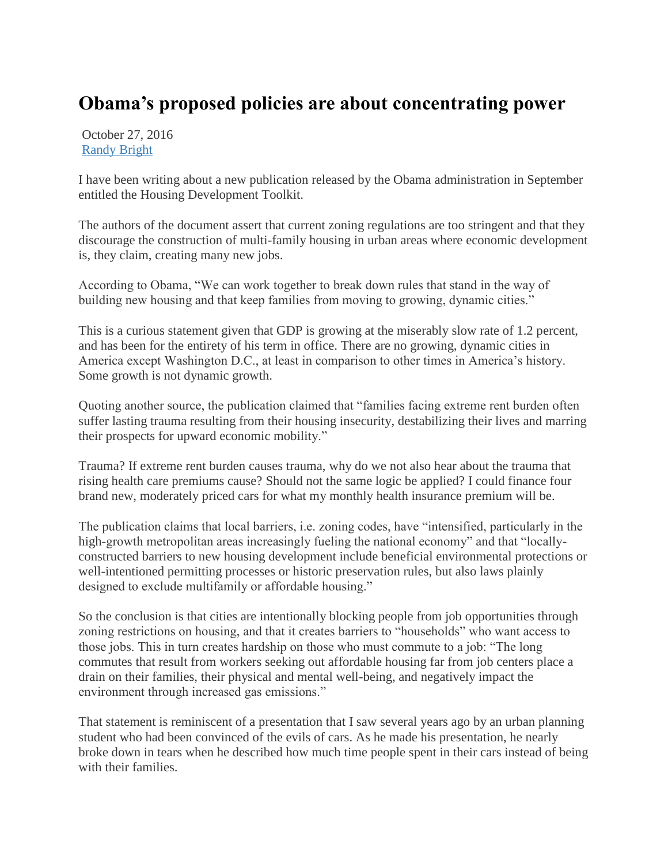## **Obama's proposed policies are about concentrating power**

October 27, 2016 [Randy Bright](http://tulsabeacon.com/author/randy-bright/)

I have been writing about a new publication released by the Obama administration in September entitled the Housing Development Toolkit.

The authors of the document assert that current zoning regulations are too stringent and that they discourage the construction of multi-family housing in urban areas where economic development is, they claim, creating many new jobs.

According to Obama, "We can work together to break down rules that stand in the way of building new housing and that keep families from moving to growing, dynamic cities."

This is a curious statement given that GDP is growing at the miserably slow rate of 1.2 percent, and has been for the entirety of his term in office. There are no growing, dynamic cities in America except Washington D.C., at least in comparison to other times in America's history. Some growth is not dynamic growth.

Quoting another source, the publication claimed that "families facing extreme rent burden often suffer lasting trauma resulting from their housing insecurity, destabilizing their lives and marring their prospects for upward economic mobility."

Trauma? If extreme rent burden causes trauma, why do we not also hear about the trauma that rising health care premiums cause? Should not the same logic be applied? I could finance four brand new, moderately priced cars for what my monthly health insurance premium will be.

The publication claims that local barriers, i.e. zoning codes, have "intensified, particularly in the high-growth metropolitan areas increasingly fueling the national economy" and that "locallyconstructed barriers to new housing development include beneficial environmental protections or well-intentioned permitting processes or historic preservation rules, but also laws plainly designed to exclude multifamily or affordable housing."

So the conclusion is that cities are intentionally blocking people from job opportunities through zoning restrictions on housing, and that it creates barriers to "households" who want access to those jobs. This in turn creates hardship on those who must commute to a job: "The long commutes that result from workers seeking out affordable housing far from job centers place a drain on their families, their physical and mental well-being, and negatively impact the environment through increased gas emissions."

That statement is reminiscent of a presentation that I saw several years ago by an urban planning student who had been convinced of the evils of cars. As he made his presentation, he nearly broke down in tears when he described how much time people spent in their cars instead of being with their families.